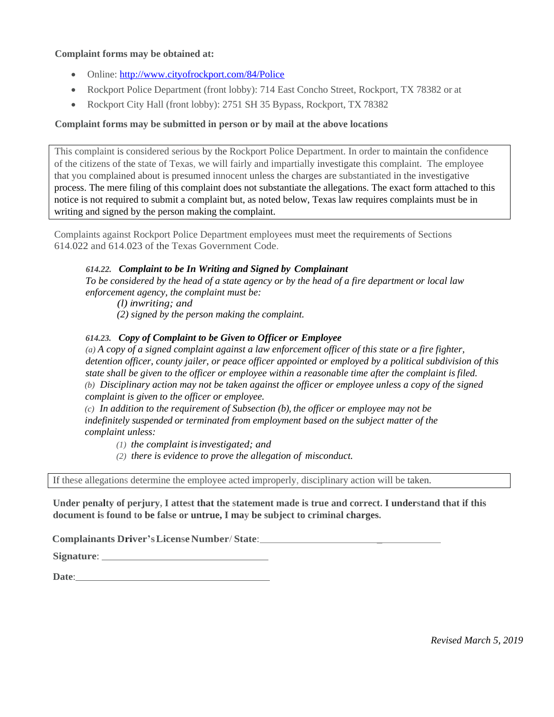### **Complaint forms may be obtained at:**

- Online: <http://www.cityofrockport.com/84/Police>
- Rockport Police Department (front lobby): 714 East Concho Street, Rockport, TX 78382 or at
- Rockport City Hall (front lobby): 2751 SH 35 Bypass, Rockport, TX 78382

## **Complaint forms may be submitted in person or by mail at the above locations**

This complaint is considered serious by the Rockport Police Department. In order to maintain the confidence of the citizens of the state of Texas, we will fairly and impartially investigate this complaint. The employee that you complained about is presumed innocent unless the charges are substantiated in the investigative process. The mere filing of this complaint does not substantiate the allegations. The exact form attached to this notice is not required to submit a complaint but, as noted below, Texas law requires complaints must be in writing and signed by the person making the complaint.

Complaints against Rockport Police Department employees must meet the requirements of Sections 614.022 and 614.023 of the Texas Government Code.

### *614.22. Complaint to be In Writing and Signed by Complainant*

*To be considered by the head of a state agency or by the head of a fire department or local law enforcement agency, the complaint must be:*

*(l) inwriting; and*

*(2) signed by the person making the complaint.*

### *614.23. Copy of Complaint to be Given to Officer or Employee*

*(a) A copy of a signed complaint against a law enforcement officer of this state or a fire fighter, detention officer, county jailer, or peace officer appointed or employed by a political subdivision of this state shall be given to the officer or employee within a reasonable time after the complaint is filed. (b) Disciplinary action may not be taken against the officer or employee unless a copy of the signed complaint is given to the officer or employee.*

*(c) In addition to the requirement of Subsection (b), the officer or employee may not be indefinitely suspended or terminated from employment based on the subject matter of the complaint unless:*

*(1) the complaint isinvestigated; and*

*(2) there is evidence to prove the allegation of misconduct.*

If these allegations determine the employee acted improperly, disciplinary action will be taken.

**Under penalty of perjury, I attest that the statement made is true and correct. I understand that if this document is found to be false or untrue, I may be subject to criminal charges.**

**Complainants Driver'sLicenseNumber/ State**: \_

**Signature**:

**Date**: